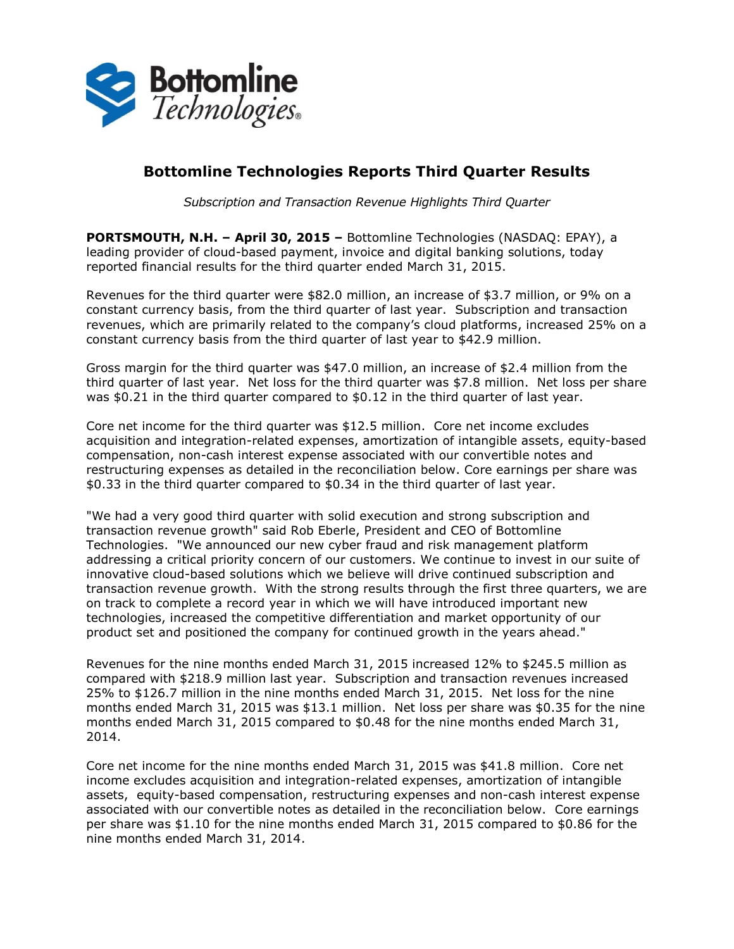

# **Bottomline Technologies Reports Third Quarter Results**

*Subscription and Transaction Revenue Highlights Third Quarter*

**PORTSMOUTH, N.H. – April 30, 2015 –** Bottomline Technologies (NASDAQ: EPAY), a leading provider of cloud-based payment, invoice and digital banking solutions, today reported financial results for the third quarter ended March 31, 2015.

Revenues for the third quarter were \$82.0 million, an increase of \$3.7 million, or 9% on a constant currency basis, from the third quarter of last year. Subscription and transaction revenues, which are primarily related to the company's cloud platforms, increased 25% on a constant currency basis from the third quarter of last year to \$42.9 million.

Gross margin for the third quarter was \$47.0 million, an increase of \$2.4 million from the third quarter of last year. Net loss for the third quarter was \$7.8 million. Net loss per share was \$0.21 in the third quarter compared to \$0.12 in the third quarter of last year.

Core net income for the third quarter was \$12.5 million. Core net income excludes acquisition and integration-related expenses, amortization of intangible assets, equity-based compensation, non-cash interest expense associated with our convertible notes and restructuring expenses as detailed in the reconciliation below. Core earnings per share was \$0.33 in the third quarter compared to \$0.34 in the third quarter of last year.

"We had a very good third quarter with solid execution and strong subscription and transaction revenue growth" said Rob Eberle, President and CEO of Bottomline Technologies. "We announced our new cyber fraud and risk management platform addressing a critical priority concern of our customers. We continue to invest in our suite of innovative cloud-based solutions which we believe will drive continued subscription and transaction revenue growth. With the strong results through the first three quarters, we are on track to complete a record year in which we will have introduced important new technologies, increased the competitive differentiation and market opportunity of our product set and positioned the company for continued growth in the years ahead."

Revenues for the nine months ended March 31, 2015 increased 12% to \$245.5 million as compared with \$218.9 million last year. Subscription and transaction revenues increased 25% to \$126.7 million in the nine months ended March 31, 2015. Net loss for the nine months ended March 31, 2015 was \$13.1 million. Net loss per share was \$0.35 for the nine months ended March 31, 2015 compared to \$0.48 for the nine months ended March 31, 2014.

Core net income for the nine months ended March 31, 2015 was \$41.8 million. Core net income excludes acquisition and integration-related expenses, amortization of intangible assets, equity-based compensation, restructuring expenses and non-cash interest expense associated with our convertible notes as detailed in the reconciliation below. Core earnings per share was \$1.10 for the nine months ended March 31, 2015 compared to \$0.86 for the nine months ended March 31, 2014.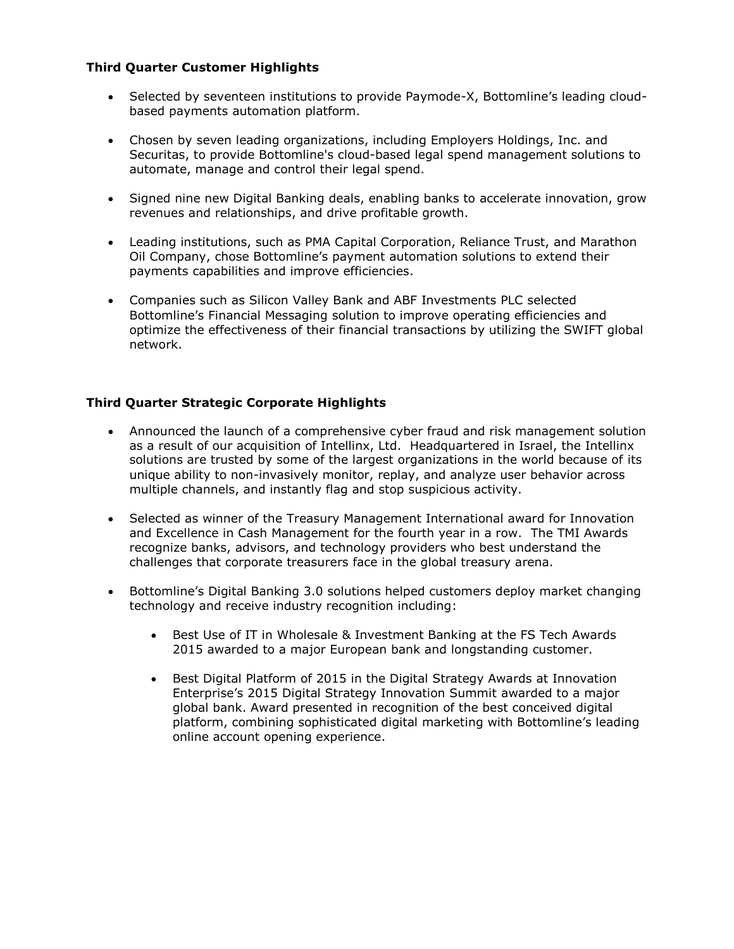### **Third Quarter Customer Highlights**

- Selected by seventeen institutions to provide Paymode-X, Bottomline's leading cloudbased payments automation platform.
- Chosen by seven leading organizations, including Employers Holdings, Inc. and Securitas, to provide Bottomline's cloud-based legal spend management solutions to automate, manage and control their legal spend.
- Signed nine new Digital Banking deals, enabling banks to accelerate innovation, grow revenues and relationships, and drive profitable growth.
- Leading institutions, such as PMA Capital Corporation, Reliance Trust, and Marathon Oil Company, chose Bottomline's payment automation solutions to extend their payments capabilities and improve efficiencies.
- Companies such as Silicon Valley Bank and ABF Investments PLC selected Bottomline's Financial Messaging solution to improve operating efficiencies and optimize the effectiveness of their financial transactions by utilizing the SWIFT global network.

### **Third Quarter Strategic Corporate Highlights**

- Announced the launch of a comprehensive cyber fraud and risk management solution as a result of our acquisition of Intellinx, Ltd. Headquartered in Israel, the Intellinx solutions are trusted by some of the largest organizations in the world because of its unique ability to non-invasively monitor, replay, and analyze user behavior across multiple channels, and instantly flag and stop suspicious activity.
- Selected as winner of the Treasury Management International award for Innovation and Excellence in Cash Management for the fourth year in a row. The TMI Awards recognize banks, advisors, and technology providers who best understand the challenges that corporate treasurers face in the global treasury arena.
- Bottomline's Digital Banking 3.0 solutions helped customers deploy market changing technology and receive industry recognition including:
	- Best Use of IT in Wholesale & Investment Banking at the FS Tech Awards 2015 awarded to a major European bank and longstanding customer.
	- Best Digital Platform of 2015 in the Digital Strategy Awards at Innovation Enterprise's 2015 Digital Strategy Innovation Summit awarded to a major global bank. Award presented in recognition of the best conceived digital platform, combining sophisticated digital marketing with Bottomline's leading online account opening experience.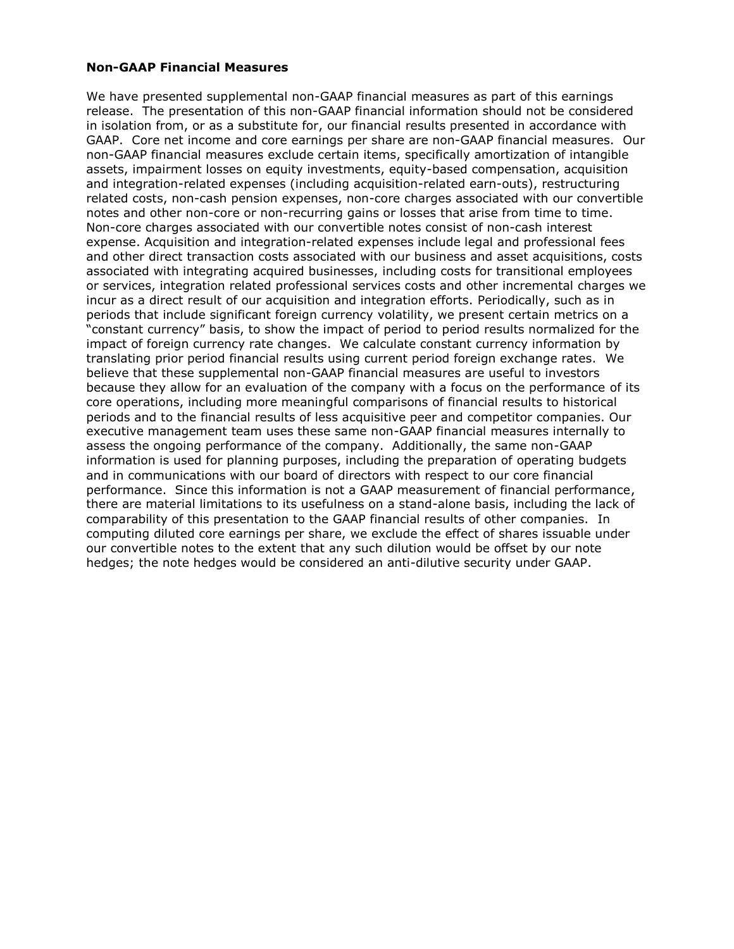#### **Non-GAAP Financial Measures**

We have presented supplemental non-GAAP financial measures as part of this earnings release. The presentation of this non-GAAP financial information should not be considered in isolation from, or as a substitute for, our financial results presented in accordance with GAAP. Core net income and core earnings per share are non-GAAP financial measures. Our non-GAAP financial measures exclude certain items, specifically amortization of intangible assets, impairment losses on equity investments, equity-based compensation, acquisition and integration-related expenses (including acquisition-related earn-outs), restructuring related costs, non-cash pension expenses, non-core charges associated with our convertible notes and other non-core or non-recurring gains or losses that arise from time to time. Non-core charges associated with our convertible notes consist of non-cash interest expense. Acquisition and integration-related expenses include legal and professional fees and other direct transaction costs associated with our business and asset acquisitions, costs associated with integrating acquired businesses, including costs for transitional employees or services, integration related professional services costs and other incremental charges we incur as a direct result of our acquisition and integration efforts. Periodically, such as in periods that include significant foreign currency volatility, we present certain metrics on a "constant currency" basis, to show the impact of period to period results normalized for the impact of foreign currency rate changes. We calculate constant currency information by translating prior period financial results using current period foreign exchange rates. We believe that these supplemental non-GAAP financial measures are useful to investors because they allow for an evaluation of the company with a focus on the performance of its core operations, including more meaningful comparisons of financial results to historical periods and to the financial results of less acquisitive peer and competitor companies. Our executive management team uses these same non-GAAP financial measures internally to assess the ongoing performance of the company. Additionally, the same non-GAAP information is used for planning purposes, including the preparation of operating budgets and in communications with our board of directors with respect to our core financial performance. Since this information is not a GAAP measurement of financial performance, there are material limitations to its usefulness on a stand-alone basis, including the lack of comparability of this presentation to the GAAP financial results of other companies. In computing diluted core earnings per share, we exclude the effect of shares issuable under our convertible notes to the extent that any such dilution would be offset by our note hedges; the note hedges would be considered an anti-dilutive security under GAAP.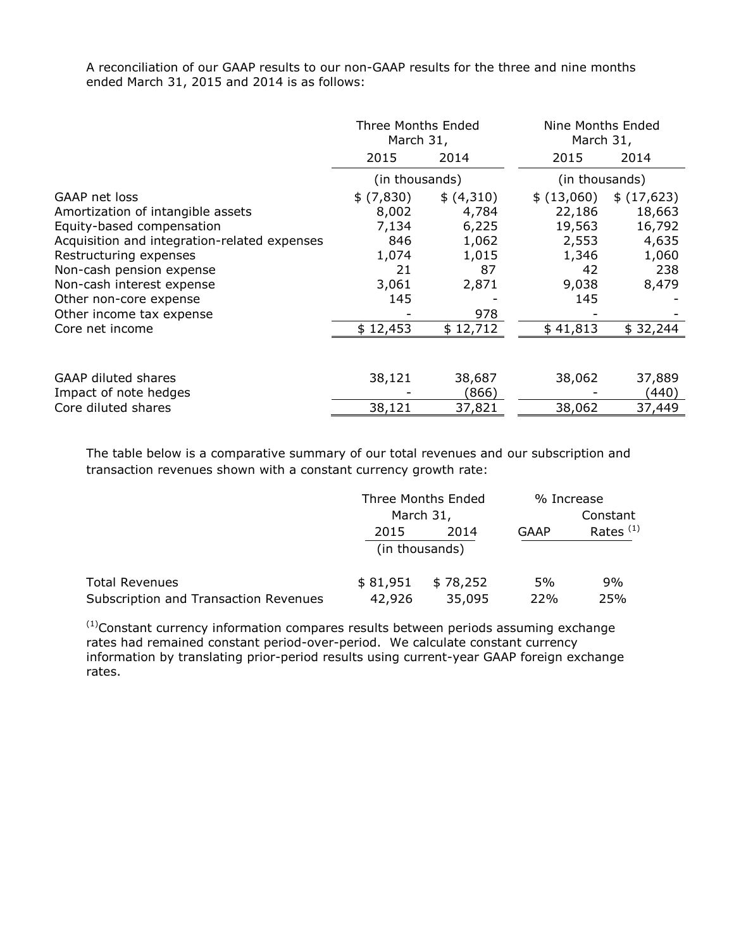A reconciliation of our GAAP results to our non-GAAP results for the three and nine months ended March 31, 2015 and 2014 is as follows:

|                                              | Three Months Ended<br>March 31, |            | Nine Months Ended<br>March 31, |            |
|----------------------------------------------|---------------------------------|------------|--------------------------------|------------|
|                                              | 2015                            | 2014       | 2015                           | 2014       |
|                                              | (in thousands)                  |            | (in thousands)                 |            |
| GAAP net loss                                | \$ (7,830)                      | \$ (4,310) | \$ (13,060)                    | \$(17,623) |
| Amortization of intangible assets            | 8,002                           | 4,784      | 22,186                         | 18,663     |
| Equity-based compensation                    | 7,134                           | 6,225      | 19,563                         | 16,792     |
| Acquisition and integration-related expenses | 846                             | 1,062      | 2,553                          | 4,635      |
| Restructuring expenses                       | 1,074                           | 1,015      | 1,346                          | 1,060      |
| Non-cash pension expense                     | 21                              | 87         | 42                             | 238        |
| Non-cash interest expense                    | 3,061                           | 2,871      | 9,038                          | 8,479      |
| Other non-core expense                       | 145                             |            | 145                            |            |
| Other income tax expense                     |                                 | 978        |                                |            |
| Core net income                              | \$12,453                        | \$12,712   | \$41,813                       | \$32,244   |
|                                              |                                 |            |                                |            |
| <b>GAAP diluted shares</b>                   | 38,121                          | 38,687     | 38,062                         | 37,889     |
| Impact of note hedges                        |                                 | (866)      |                                | (440)      |
| Core diluted shares                          | 38,121                          | 37,821     | 38,062                         | 37,449     |

The table below is a comparative summary of our total revenues and our subscription and transaction revenues shown with a constant currency growth rate:

|                                       | Three Months Ended<br>March 31, |          | % Increase  |             |  |
|---------------------------------------|---------------------------------|----------|-------------|-------------|--|
|                                       |                                 |          |             | Constant    |  |
|                                       | 2015                            | 2014     | <b>GAAP</b> | Rates $(1)$ |  |
|                                       | (in thousands)                  |          |             |             |  |
| <b>Total Revenues</b>                 | \$81,951                        | \$78,252 | 5%          | 9%          |  |
| Subscription and Transaction Revenues | 42,926                          | 35,095   | 22%         | 25%         |  |

 $<sup>(1)</sup>$ Constant currency information compares results between periods assuming exchange</sup> rates had remained constant period-over-period. We calculate constant currency information by translating prior-period results using current-year GAAP foreign exchange rates.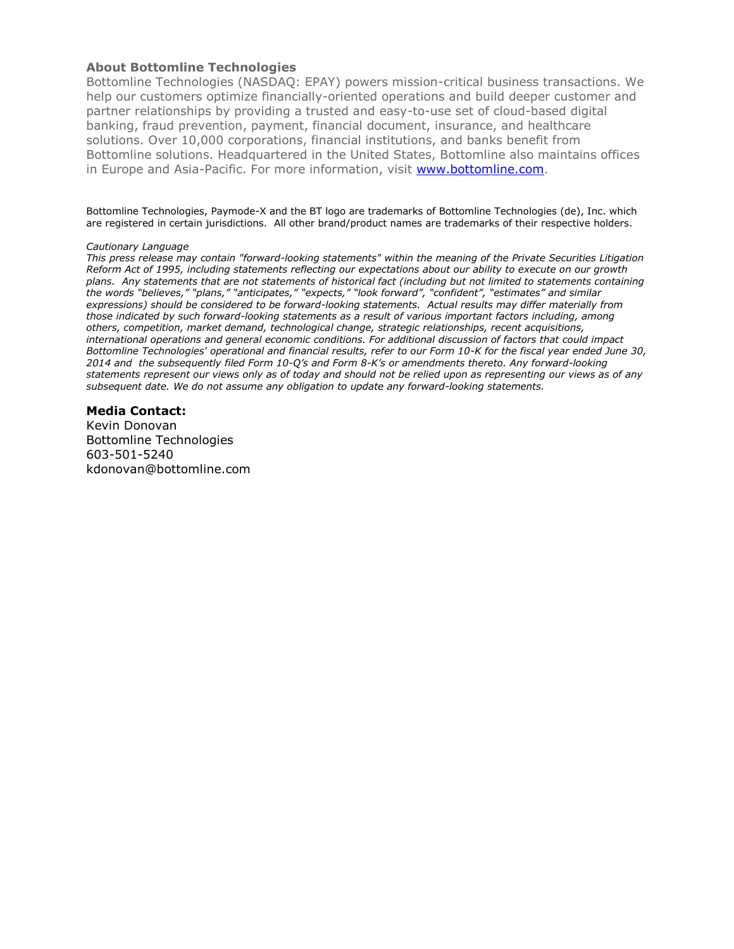#### **About Bottomline Technologies**

Bottomline Technologies (NASDAQ: EPAY) powers mission-critical business transactions. We help our customers optimize financially-oriented operations and build deeper customer and partner relationships by providing a trusted and easy-to-use set of cloud-based digital banking, fraud prevention, payment, financial document, insurance, and healthcare solutions. Over 10,000 corporations, financial institutions, and banks benefit from Bottomline solutions. Headquartered in the United States, Bottomline also maintains offices in Europe and Asia-Pacific. For more information, visit [www.bottomline.com.](http://www.bottomline.com/)

Bottomline Technologies, Paymode-X and the BT logo are trademarks of Bottomline Technologies (de), Inc. which are registered in certain jurisdictions. All other brand/product names are trademarks of their respective holders.

#### *Cautionary Language*

*This press release may contain "forward-looking statements" within the meaning of the Private Securities Litigation Reform Act of 1995, including statements reflecting our expectations about our ability to execute on our growth plans. Any statements that are not statements of historical fact (including but not limited to statements containing the words "believes," "plans," "anticipates," "expects," "look forward", "confident", "estimates" and similar expressions) should be considered to be forward-looking statements. Actual results may differ materially from those indicated by such forward-looking statements as a result of various important factors including, among others, competition, market demand, technological change, strategic relationships, recent acquisitions, international operations and general economic conditions. For additional discussion of factors that could impact Bottomline Technologies' operational and financial results, refer to our Form 10-K for the fiscal year ended June 30, 2014 and the subsequently filed Form 10-Q's and Form 8-K's or amendments thereto. Any forward-looking statements represent our views only as of today and should not be relied upon as representing our views as of any subsequent date. We do not assume any obligation to update any forward-looking statements.*

#### **Media Contact:**

Kevin Donovan Bottomline Technologies 603-501-5240 kdonovan@bottomline.com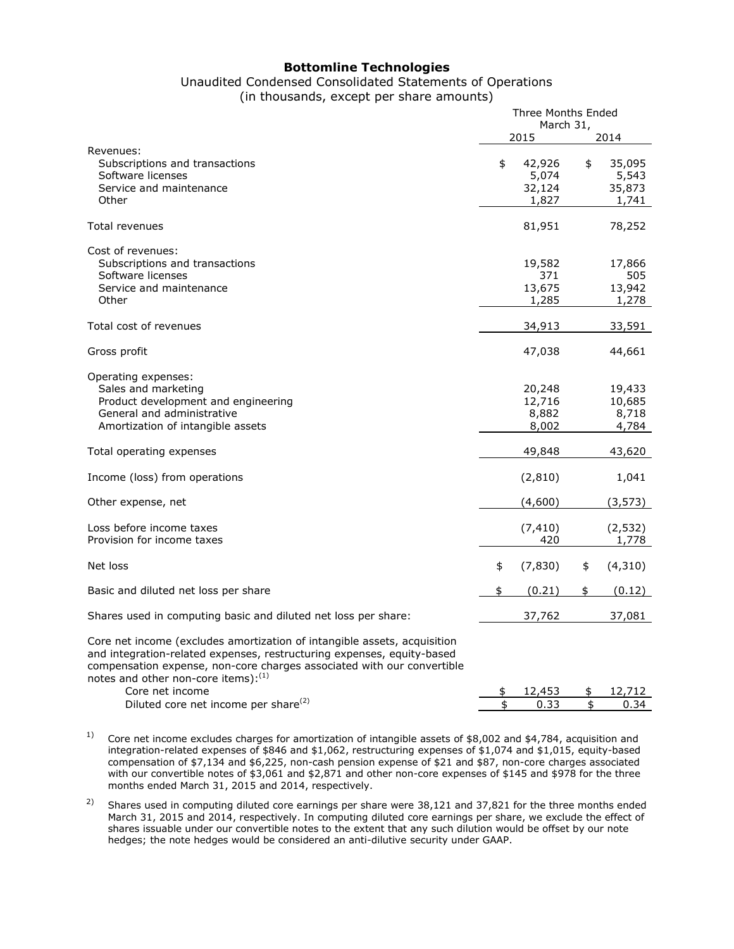#### **Bottomline Technologies**

## Unaudited Condensed Consolidated Statements of Operations

(in thousands, except per share amounts)

Three Months Ended

|                                                                                                                                                                                                                                                                           | Triree Montris Ended<br>March 31, |                                    |          |                                    |
|---------------------------------------------------------------------------------------------------------------------------------------------------------------------------------------------------------------------------------------------------------------------------|-----------------------------------|------------------------------------|----------|------------------------------------|
|                                                                                                                                                                                                                                                                           |                                   | 2015                               |          | 2014                               |
| Revenues:<br>Subscriptions and transactions<br>Software licenses<br>Service and maintenance<br>Other                                                                                                                                                                      | \$                                | 42,926<br>5,074<br>32,124<br>1,827 | \$       | 35,095<br>5,543<br>35,873<br>1,741 |
| Total revenues                                                                                                                                                                                                                                                            |                                   | 81,951                             |          | 78,252                             |
| Cost of revenues:<br>Subscriptions and transactions<br>Software licenses<br>Service and maintenance<br>Other                                                                                                                                                              |                                   | 19,582<br>371<br>13,675<br>1,285   |          | 17,866<br>505<br>13,942<br>1,278   |
| Total cost of revenues                                                                                                                                                                                                                                                    |                                   | 34,913                             |          | 33,591                             |
| Gross profit                                                                                                                                                                                                                                                              |                                   | 47,038                             |          | 44,661                             |
| Operating expenses:<br>Sales and marketing<br>Product development and engineering<br>General and administrative<br>Amortization of intangible assets                                                                                                                      |                                   | 20,248<br>12,716<br>8,882<br>8,002 |          | 19,433<br>10,685<br>8,718<br>4,784 |
| Total operating expenses                                                                                                                                                                                                                                                  |                                   | 49,848                             |          | 43,620                             |
| Income (loss) from operations                                                                                                                                                                                                                                             |                                   | (2,810)                            |          | 1,041                              |
| Other expense, net                                                                                                                                                                                                                                                        |                                   | (4,600)                            |          | (3, 573)                           |
| Loss before income taxes<br>Provision for income taxes                                                                                                                                                                                                                    |                                   | (7, 410)<br>420                    |          | (2, 532)<br>1,778                  |
| Net loss                                                                                                                                                                                                                                                                  | \$                                | (7, 830)                           | \$       | (4, 310)                           |
| Basic and diluted net loss per share                                                                                                                                                                                                                                      | \$                                | (0.21)                             | \$       | (0.12)                             |
| Shares used in computing basic and diluted net loss per share:                                                                                                                                                                                                            |                                   | 37,762                             |          | 37,081                             |
| Core net income (excludes amortization of intangible assets, acquisition<br>and integration-related expenses, restructuring expenses, equity-based<br>compensation expense, non-core charges associated with our convertible<br>notes and other non-core items): $^{(1)}$ |                                   |                                    |          |                                    |
| Core net income                                                                                                                                                                                                                                                           | \$<br>\$                          | 12,453                             | \$<br>\$ | 12,712                             |
| Diluted core net income per share <sup>(2)</sup>                                                                                                                                                                                                                          |                                   | 0.33                               |          | 0.34                               |

<sup>1)</sup> Core net income excludes charges for amortization of intangible assets of \$8,002 and \$4,784, acquisition and integration-related expenses of \$846 and \$1,062, restructuring expenses of \$1,074 and \$1,015, equity-based compensation of \$7,134 and \$6,225, non-cash pension expense of \$21 and \$87, non-core charges associated with our convertible notes of \$3,061 and \$2,871 and other non-core expenses of \$145 and \$978 for the three months ended March 31, 2015 and 2014, respectively.

<sup>2)</sup> Shares used in computing diluted core earnings per share were 38,121 and 37,821 for the three months ended March 31, 2015 and 2014, respectively. In computing diluted core earnings per share, we exclude the effect of shares issuable under our convertible notes to the extent that any such dilution would be offset by our note hedges; the note hedges would be considered an anti-dilutive security under GAAP.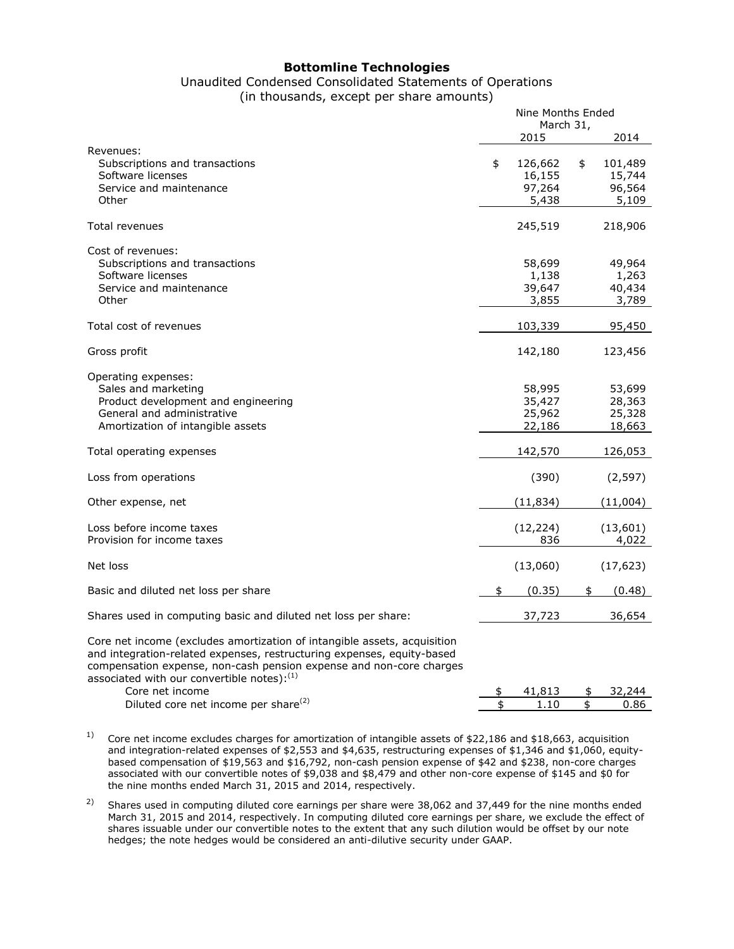#### **Bottomline Technologies**

## Unaudited Condensed Consolidated Statements of Operations

(in thousands, except per share amounts)

Nine Months Ended

|                                                                                                                                                                                                                                                                          | inine montris Ended<br>March 31, |                                      |    |                                      |
|--------------------------------------------------------------------------------------------------------------------------------------------------------------------------------------------------------------------------------------------------------------------------|----------------------------------|--------------------------------------|----|--------------------------------------|
|                                                                                                                                                                                                                                                                          |                                  | 2015                                 |    | 2014                                 |
| Revenues:<br>Subscriptions and transactions<br>Software licenses<br>Service and maintenance<br>Other                                                                                                                                                                     | \$                               | 126,662<br>16,155<br>97,264<br>5,438 | \$ | 101,489<br>15,744<br>96,564<br>5,109 |
| <b>Total revenues</b>                                                                                                                                                                                                                                                    |                                  | 245,519                              |    | 218,906                              |
| Cost of revenues:<br>Subscriptions and transactions<br>Software licenses<br>Service and maintenance<br>Other                                                                                                                                                             |                                  | 58,699<br>1,138<br>39,647<br>3,855   |    | 49,964<br>1,263<br>40,434<br>3,789   |
| Total cost of revenues                                                                                                                                                                                                                                                   |                                  | 103,339                              |    | 95,450                               |
| Gross profit                                                                                                                                                                                                                                                             |                                  | 142,180                              |    | 123,456                              |
| Operating expenses:<br>Sales and marketing<br>Product development and engineering<br>General and administrative<br>Amortization of intangible assets                                                                                                                     |                                  | 58,995<br>35,427<br>25,962<br>22,186 |    | 53,699<br>28,363<br>25,328<br>18,663 |
| Total operating expenses                                                                                                                                                                                                                                                 |                                  | 142,570                              |    | 126,053                              |
| Loss from operations                                                                                                                                                                                                                                                     |                                  | (390)                                |    | (2, 597)                             |
| Other expense, net                                                                                                                                                                                                                                                       |                                  | (11, 834)                            |    | (11,004)                             |
| Loss before income taxes<br>Provision for income taxes                                                                                                                                                                                                                   |                                  | (12, 224)<br>836                     |    | (13,601)<br>4,022                    |
| Net loss                                                                                                                                                                                                                                                                 |                                  | (13,060)                             |    | (17, 623)                            |
| Basic and diluted net loss per share                                                                                                                                                                                                                                     | \$                               | (0.35)                               | \$ | (0.48)                               |
| Shares used in computing basic and diluted net loss per share:                                                                                                                                                                                                           |                                  | 37,723                               |    | 36,654                               |
| Core net income (excludes amortization of intangible assets, acquisition<br>and integration-related expenses, restructuring expenses, equity-based<br>compensation expense, non-cash pension expense and non-core charges<br>associated with our convertible notes): (1) |                                  |                                      |    |                                      |
| Core net income                                                                                                                                                                                                                                                          | \$                               | 41,813                               | \$ | 32,244                               |
| Diluted core net income per share <sup>(2)</sup>                                                                                                                                                                                                                         | \$                               | 1.10                                 | \$ | 0.86                                 |

<sup>1)</sup> Core net income excludes charges for amortization of intangible assets of \$22,186 and \$18,663, acquisition and integration-related expenses of \$2,553 and \$4,635, restructuring expenses of \$1,346 and \$1,060, equitybased compensation of \$19,563 and \$16,792, non-cash pension expense of \$42 and \$238, non-core charges associated with our convertible notes of \$9,038 and \$8,479 and other non-core expense of \$145 and \$0 for the nine months ended March 31, 2015 and 2014, respectively.

<sup>2)</sup> Shares used in computing diluted core earnings per share were 38,062 and 37,449 for the nine months ended March 31, 2015 and 2014, respectively. In computing diluted core earnings per share, we exclude the effect of shares issuable under our convertible notes to the extent that any such dilution would be offset by our note hedges; the note hedges would be considered an anti-dilutive security under GAAP.